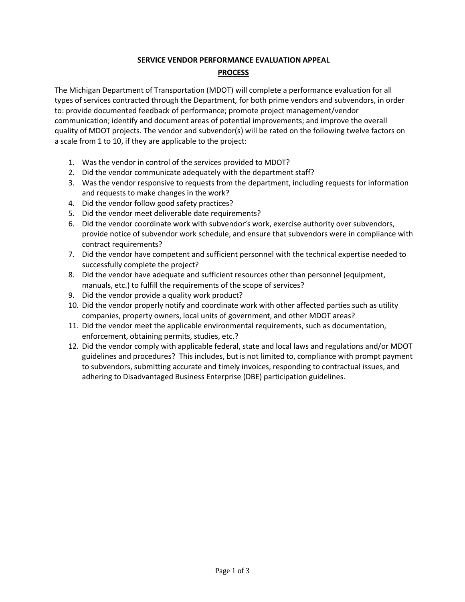## **SERVICE VENDOR PERFORMANCE EVALUATION APPEAL**

#### **PROCESS**

The Michigan Department of Transportation (MDOT) will complete a performance evaluation for all types of services contracted through the Department, for both prime vendors and subvendors, in order to: provide documented feedback of performance; promote project management/vendor communication; identify and document areas of potential improvements; and improve the overall quality of MDOT projects. The vendor and subvendor(s) will be rated on the following twelve factors on a scale from 1 to 10, if they are applicable to the project:

- 1. Was the vendor in control of the services provided to MDOT?
- 2. Did the vendor communicate adequately with the department staff?
- 3. Was the vendor responsive to requests from the department, including requests for information and requests to make changes in the work?
- 4. Did the vendor follow good safety practices?
- 5. Did the vendor meet deliverable date requirements?
- 6. Did the vendor coordinate work with subvendor's work, exercise authority over subvendors, provide notice of subvendor work schedule, and ensure that subvendors were in compliance with contract requirements?
- 7. Did the vendor have competent and sufficient personnel with the technical expertise needed to successfully complete the project?
- 8. Did the vendor have adequate and sufficient resources other than personnel (equipment, manuals, etc.) to fulfill the requirements of the scope of services?
- 9. Did the vendor provide a quality work product?
- 10. Did the vendor properly notify and coordinate work with other affected parties such as utility companies, property owners, local units of government, and other MDOT areas?
- 11. Did the vendor meet the applicable environmental requirements, such as documentation, enforcement, obtaining permits, studies, etc.?
- 12. Did the vendor comply with applicable federal, state and local laws and regulations and/or MDOT guidelines and procedures? This includes, but is not limited to, compliance with prompt payment to subvendors, submitting accurate and timely invoices, responding to contractual issues, and adhering to Disadvantaged Business Enterprise (DBE) participation guidelines.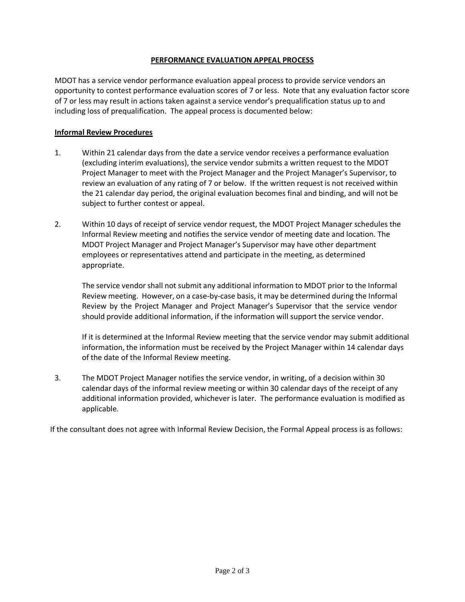## **PERFORMANCE EVALUATION APPEAL PROCESS**

MDOT has a service vendor performance evaluation appeal process to provide service vendors an opportunity to contest performance evaluation scores of 7 or less. Note that any evaluation factor score of 7 or less may result in actions taken against a service vendor's prequalification status up to and including loss of prequalification. The appeal process is documented below:

# **Informal Review Procedures**

- 1. Within 21 calendar days from the date a service vendor receives a performance evaluation (excluding interim evaluations), the service vendor submits a written request to the MDOT Project Manager to meet with the Project Manager and the Project Manager's Supervisor, to review an evaluation of any rating of 7 or below. If the written request is not received within the 21 calendar day period, the original evaluation becomes final and binding, and will not be subject to further contest or appeal.
- 2. Within 10 days of receipt of service vendor request, the MDOT Project Manager schedules the Informal Review meeting and notifies the service vendor of meeting date and location. The MDOT Project Manager and Project Manager's Supervisor may have other department employees or representatives attend and participate in the meeting, as determined appropriate.

The service vendor shall not submit any additional information to MDOT prior to the Informal Review meeting. However, on a case-by-case basis, it may be determined during the Informal Review by the Project Manager and Project Manager's Supervisor that the service vendor should provide additional information, if the information will support the service vendor.

If it is determined at the Informal Review meeting that the service vendor may submit additional information, the information must be received by the Project Manager within 14 calendar days of the date of the Informal Review meeting.

3. The MDOT Project Manager notifies the service vendor, in writing, of a decision within 30 calendar days of the informal review meeting or within 30 calendar days of the receipt of any additional information provided, whichever is later. The performance evaluation is modified as applicable.

If the consultant does not agree with Informal Review Decision, the Formal Appeal process is as follows: